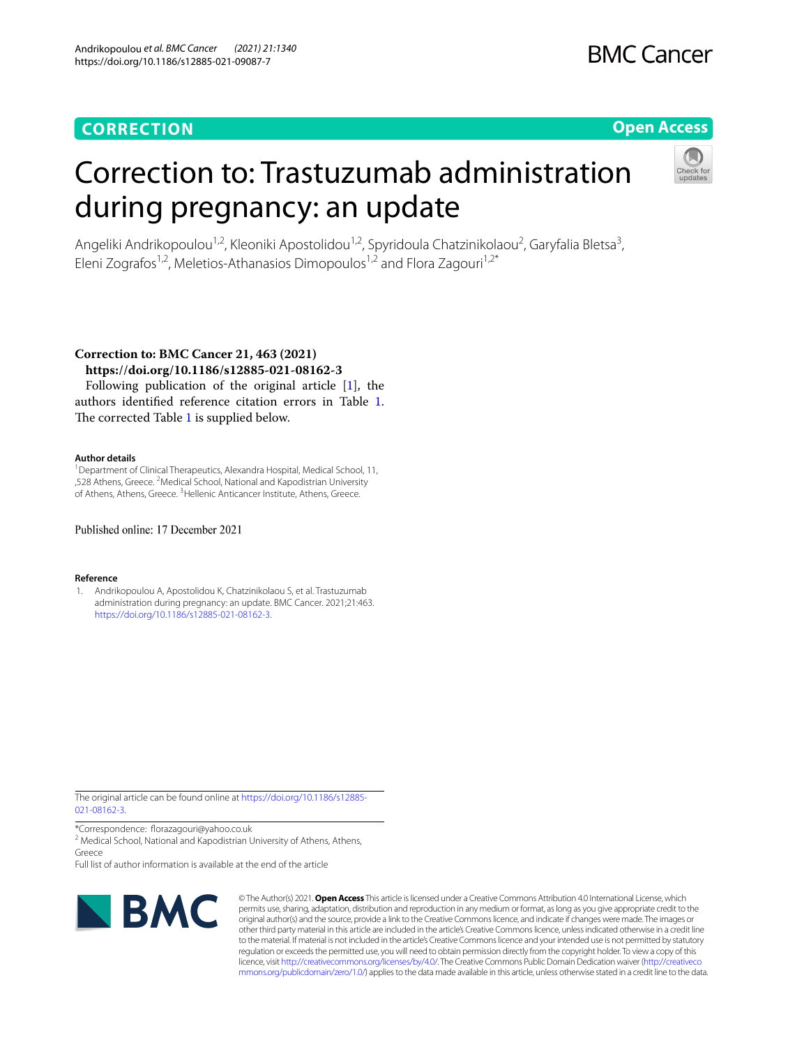### **CORRECTION**

## **BMC Cancer**

### **Open Access**

# Correction to: Trastuzumab administration during pregnancy: an update



Angeliki Andrikopoulou<sup>1,2</sup>, Kleoniki Apostolidou<sup>1,2</sup>, Spyridoula Chatzinikolaou<sup>2</sup>, Garyfalia Bletsa<sup>3</sup>, Eleni Zografos<sup>1,2</sup>, Meletios-Athanasios Dimopoulos<sup>1,2</sup> and Flora Zagouri<sup>1,2\*</sup>

**Correction to: BMC Cancer 21, 463 (2021) https://doi.org/10.1186/s12885-021-08162-3**

Following publication of the original article [\[1](#page-0-0)], the authors identifed reference citation errors in Table [1](#page-1-0). The corrected Table [1](#page-1-0) is supplied below.

### **Author details**

<sup>1</sup> Department of Clinical Therapeutics, Alexandra Hospital, Medical School, 11, ,528 Athens, Greece. 2 Medical School, National and Kapodistrian University of Athens, Athens, Greece.<sup>3</sup> Hellenic Anticancer Institute, Athens, Greece.

Published online: 17 December 2021

#### **Reference**

<span id="page-0-0"></span>1. Andrikopoulou A, Apostolidou K, Chatzinikolaou S, et al. Trastuzumab administration during pregnancy: an update. BMC Cancer. 2021;21:463. <https://doi.org/10.1186/s12885-021-08162-3>.

The original article can be found online at [https://doi.org/10.1186/s12885-](https://doi.org/10.1186/s12885-021-08162-3) [021-08162-3](https://doi.org/10.1186/s12885-021-08162-3).

\*Correspondence: forazagouri@yahoo.co.uk

<sup>2</sup> Medical School, National and Kapodistrian University of Athens, Athens, Greece

Full list of author information is available at the end of the article



© The Author(s) 2021. **Open Access** This article is licensed under a Creative Commons Attribution 4.0 International License, which permits use, sharing, adaptation, distribution and reproduction in any medium or format, as long as you give appropriate credit to the original author(s) and the source, provide a link to the Creative Commons licence, and indicate if changes were made. The images or other third party material in this article are included in the article's Creative Commons licence, unless indicated otherwise in a credit line to the material. If material is not included in the article's Creative Commons licence and your intended use is not permitted by statutory regulation or exceeds the permitted use, you will need to obtain permission directly from the copyright holder. To view a copy of this licence, visit [http://creativecommons.org/licenses/by/4.0/.](http://creativecommons.org/licenses/by/4.0/) The Creative Commons Public Domain Dedication waiver ([http://creativeco](http://creativecommons.org/publicdomain/zero/1.0/) [mmons.org/publicdomain/zero/1.0/](http://creativecommons.org/publicdomain/zero/1.0/)) applies to the data made available in this article, unless otherwise stated in a credit line to the data.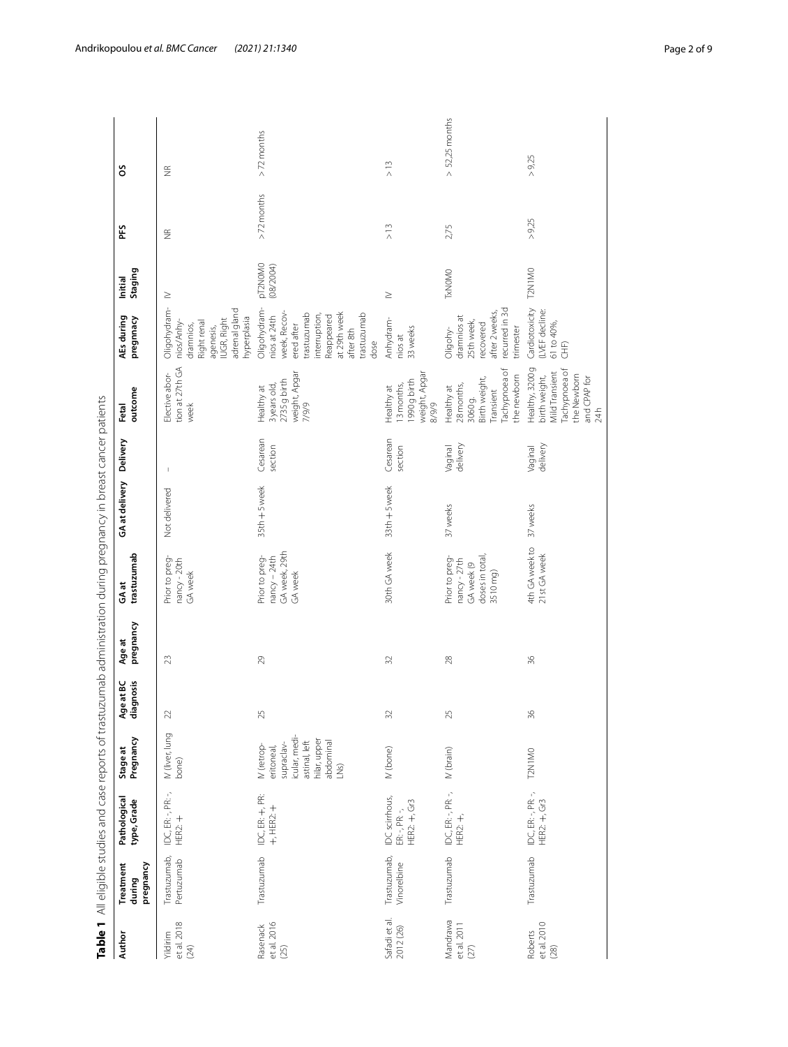<span id="page-1-0"></span>

|                                 |                                  |                                                                   |                                                                                                                |                        |                     | Table 1 All eligible studies and case reports of trastuzumab administration during pregnancy in breast cancer patients |                |                          |                                                                                                                 |                                                                                                                                                             |                      |                    |                    |
|---------------------------------|----------------------------------|-------------------------------------------------------------------|----------------------------------------------------------------------------------------------------------------|------------------------|---------------------|------------------------------------------------------------------------------------------------------------------------|----------------|--------------------------|-----------------------------------------------------------------------------------------------------------------|-------------------------------------------------------------------------------------------------------------------------------------------------------------|----------------------|--------------------|--------------------|
| Author                          | pregnancy<br>Treatment<br>during | Pathological<br>type, Grade                                       | Pregnancy<br>Stage at                                                                                          | diagnosis<br>Age at BC | pregnancy<br>Age at | trastuzumab<br>GAat                                                                                                    | GA at delivery | Delivery                 | outcome<br>Fetal                                                                                                | pregnnacy<br>AEs during                                                                                                                                     | Staging<br>Initial   | ΡFS                | SO                 |
| et al. 2018<br>Yildirim<br>(24) | Trastuzumab,<br>Pertuzumab       | IDC, ER: -, PR: -,<br>HER2:                                       | IV (liver, lung<br>bone)                                                                                       | 22                     | 23                  | Prior to preg-<br>nancy - 20th<br>GA week                                                                              | Not delivered  | $\overline{\phantom{a}}$ | tion at 27th GA<br>Elective abor-<br>week                                                                       | adrenal gland<br>Oligohydram-<br>hyperplasia<br>IUGR, Right<br>nios/Anhy-<br>Right renal<br>dramnios,<br>agenesis,                                          | $\geq$               | $\frac{\alpha}{2}$ | $\frac{\alpha}{2}$ |
| et al. 2016<br>Rasenack<br>(25) | Trastuzumab                      | IDC, ER: +, PR:<br>$+,$ HER2: $+$                                 | icular, medi-<br>hilar, upper<br>abdominal<br>astinal, left<br>supraclav-<br>IV (retrop-<br>eritoneal,<br>LNS) | 25                     | 29                  | GA week, 29th<br>Prior to preg-<br>nancy - 24th<br>GA week                                                             | 35th + 5 week  | Cesarean<br>section      | weight, Apgar<br>2735 g birth<br>3years old,<br>Healthy at<br>7/9/9                                             | Oligohydram-<br>at 29th week<br>demuzunser.<br>trastuzumab<br>week, Recov<br>interruption,<br>Reappeared<br>nios at 24th<br>ered after<br>after 8th<br>dose | pT2N0M0<br>(08/2004) | $> 72$ months      | $>72$ months       |
| Safadi et al.<br>2012 (26)      | Trastuzumab,<br>Vinorelbine      | IDC scirrhous,<br>HER2: +, Gr3<br>$\text{ER}_1$ , $\text{PR}_2$ , | (M (bone)                                                                                                      | $\Im$                  | $\Im$               | 30th GA week                                                                                                           | 33th + 5 week  | Cesarean<br>section      | weight, Apgar<br>1990 g birth<br>13 months,<br>Healthy at<br>8/9/9                                              | Anhydram-<br>33 weeks<br>nios at                                                                                                                            | $\geq$               | $\geq$ 13          | $\geq$ 13          |
| Mandrawa<br>et al. 2011<br>(27) | Trastuzumab                      | IDC, ER: -, PR: -,<br>$HER2: +$                                   | $IV$ (brain)                                                                                                   | 25                     | 28                  | doses in total,<br>Prior to preg-<br>nancy - 27th<br>GA week (9<br>3510 mg)                                            | 37 weeks       | Vaginal<br>delivery      | Tachypnoea of<br>the newborn<br>Birth weight,<br>28 months,<br>Healthy at<br>Transient<br>3060g.                | recurred in 3d<br>after 2 weeks,<br>dramnios at<br>25th week,<br>recovered<br>trimester<br>Oligohy-                                                         | <b>TxNOMO</b>        | 2,75               | $> 52,25$ months   |
| et al. 2010<br>Roberts<br>(28)  | Trastuzumab                      | IDC, ER: -, PR: -,<br>$HER2: +, Gr3$                              | T2N1MO                                                                                                         | $\approx$              | $\%$                | 4th GA week to<br>21st GA week                                                                                         | 37 weeks       | delivery<br>Vaginal      | Healthy, 3200g<br>Tachypnoea of<br><b>Mild Transient</b><br>the Newborn<br>birth weight,<br>and CPAP for<br>24h | Cardiotoxicity<br>LVEF decline:<br>61 to 40%,<br>CHF)                                                                                                       | T2N1MO               | >9,25              | >9,25              |

Andrikopoulou *et al. BMC Cancer* (2021) 21:1340 **Page 2 of 9** Page 2 of 9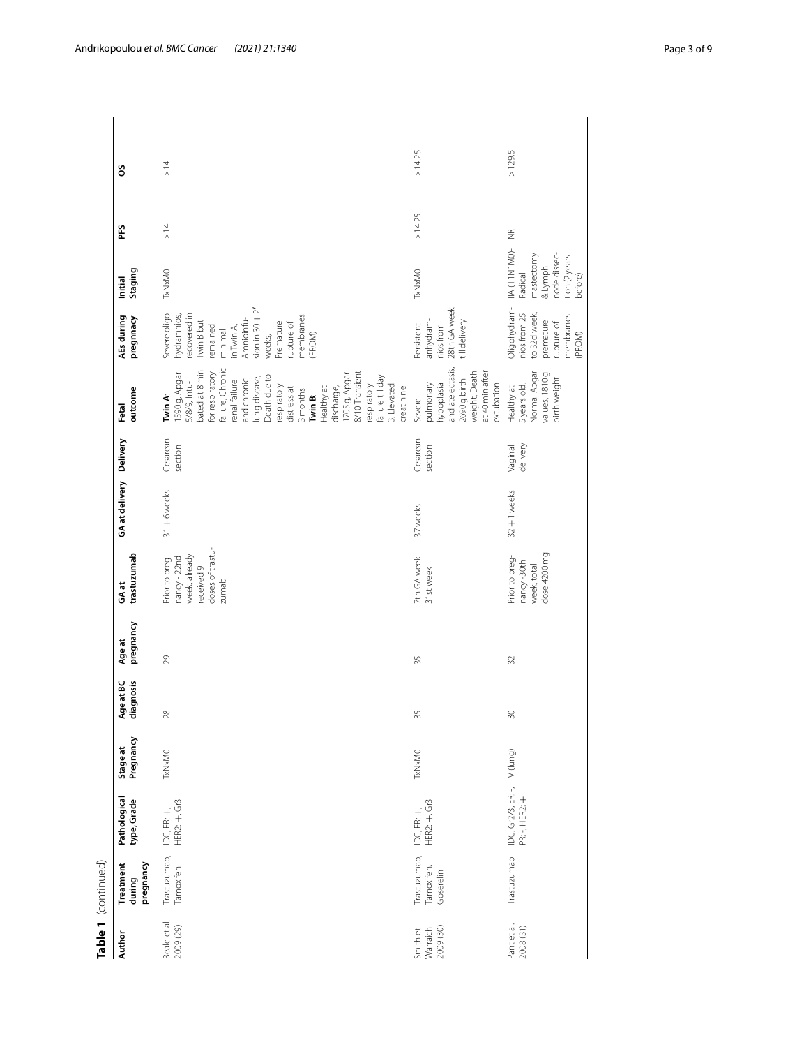|                     |                                  |                                                                                                                                                                                                                                                                                                                                                        | >14.25                                                                                                                  | >129.5                                                                                         |
|---------------------|----------------------------------|--------------------------------------------------------------------------------------------------------------------------------------------------------------------------------------------------------------------------------------------------------------------------------------------------------------------------------------------------------|-------------------------------------------------------------------------------------------------------------------------|------------------------------------------------------------------------------------------------|
|                     | SO                               | $\geq$ 14                                                                                                                                                                                                                                                                                                                                              |                                                                                                                         |                                                                                                |
|                     | ΡÉ                               | $\geq$ 14                                                                                                                                                                                                                                                                                                                                              | >14.25                                                                                                                  | $\frac{\alpha}{2}$                                                                             |
|                     | Staging<br>Initial               | TxNxMO                                                                                                                                                                                                                                                                                                                                                 | <b>TxNxMO</b>                                                                                                           | IIA (TINIMO)-<br>node dissec-<br>mastectomy<br>tion (2 years<br>& Lymph<br>Radical<br>before)  |
|                     | AEs during<br>pregnnacy          | sion in $30 + 2'$<br>Severe oligo-<br>recovered in<br>hydramnios,<br>membranes<br>Amnioinfu-<br><b>Twin B but</b><br>Premature<br>rupture of<br>remained<br>in Twin A,<br>minimal<br>(PROM)<br>weeks,                                                                                                                                                  | 28th GA week<br>till delivery<br>anhydram-<br>nios from<br>Persistent                                                   | Oligohydram-<br>nios from 25<br>to 32d week,<br>membranes<br>premature<br>rupture of<br>(PROM) |
|                     | outcome<br>Fetal                 | failure, Chronic<br>bated at 8 min<br>8/10 Transient<br>1590 g, Apgar<br>for respiratory<br>1705 g, Apgar<br>failure till day<br>Death due to<br>lung disease,<br>and chronic<br>renal failure<br>5/8/9, Intu-<br>respiratory<br>3, Elevated<br>respiratory<br>Healthy at<br>creatinine<br>discharge,<br>distress at<br>3 months<br>Twin B:<br>Twin A: | and atelectasis,<br>weight, Death<br>at 40 min after<br>2690 g birth<br>hypoplasia<br>extubation<br>pulmonary<br>Severe | Normal Apgar<br>values, 1810g<br>birth weight<br>5 years old,<br>Healthy at                    |
|                     |                                  | Cesarean<br>section                                                                                                                                                                                                                                                                                                                                    | Cesarean<br>section                                                                                                     | delivery<br>Vaginal                                                                            |
|                     | GA at delivery Delivery          | $31 + 6$ weeks                                                                                                                                                                                                                                                                                                                                         | 37 weeks                                                                                                                | $32 + 1$ weeks                                                                                 |
|                     | trastuzumab<br>GAat              | doses of trastu-<br>week, already<br>Prior to preg-<br>nancy-22nd<br>received 9<br>zumab                                                                                                                                                                                                                                                               | 7th GA week -<br>31st week                                                                                              | dose 4200 mg<br>Prior to preg-<br>nancy-30th<br>week, total                                    |
|                     | pregnancy<br>Age at              | 29                                                                                                                                                                                                                                                                                                                                                     | 35                                                                                                                      | 32                                                                                             |
|                     | Age at BC<br>diagnosis           | ă                                                                                                                                                                                                                                                                                                                                                      | 55                                                                                                                      | $\approx$                                                                                      |
|                     | Pregnancy<br>Stage at            | <b>TxNxMO</b>                                                                                                                                                                                                                                                                                                                                          | TxNxMO                                                                                                                  |                                                                                                |
|                     | Pathological<br>type, Grade      | HER2: +, Gr3<br>IDC, ER: +,                                                                                                                                                                                                                                                                                                                            | HER2: +, Gr3<br>IDC, ER: +,                                                                                             | IDC, Gr2/3, ER: -, IV (lung)<br>PR: -, HER2: +                                                 |
| Table 1 (continued) | pregnancy<br>Treatment<br>during | Trastuzumab,<br>Tamoxifen                                                                                                                                                                                                                                                                                                                              | Trastuzumab,<br>Tamoxifen,<br>Goserelin                                                                                 | Trastuzumab                                                                                    |
|                     | <b>Author</b>                    | Beale et al.<br>2009 (29)                                                                                                                                                                                                                                                                                                                              | 2009 (30)<br>Smith et<br>Warraich                                                                                       | Pant et al.<br>2008 (31)                                                                       |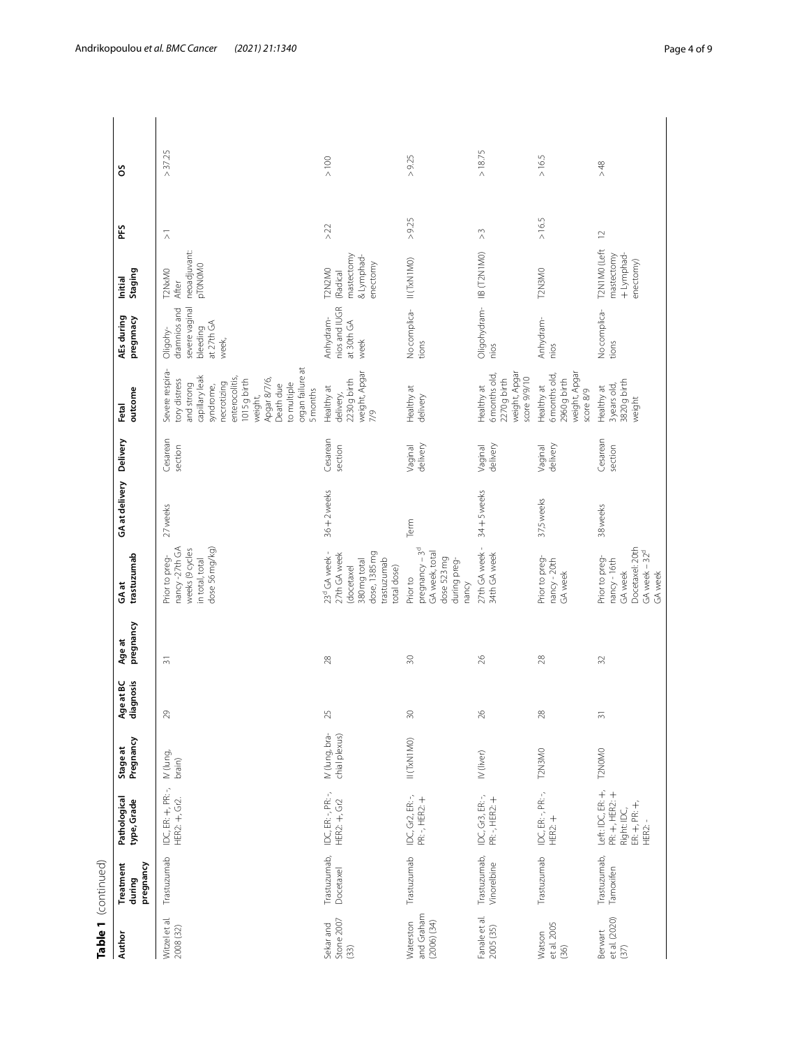| Author                                     | Table 1 (continued)<br>Treatment | Pathological                                                                | Stage at                        |                        | Age at         | GAat                                                                                                                   | GA at delivery | Delivery            | Fetal                                                                                                                                                                                                                 | AEs during                                                                    | Initial                                                    | ΡÉ                                    | SO               |  |
|--------------------------------------------|----------------------------------|-----------------------------------------------------------------------------|---------------------------------|------------------------|----------------|------------------------------------------------------------------------------------------------------------------------|----------------|---------------------|-----------------------------------------------------------------------------------------------------------------------------------------------------------------------------------------------------------------------|-------------------------------------------------------------------------------|------------------------------------------------------------|---------------------------------------|------------------|--|
|                                            | pregnancy<br>during              | type, Grade                                                                 | Pregnancy                       | Age at BC<br>diagnosis | pregnancy      | trastuzumab                                                                                                            |                |                     | outcome                                                                                                                                                                                                               | pregnnacy                                                                     | Staging                                                    |                                       |                  |  |
| Witzel et al.<br>2008 (32)                 | Trastuzumab                      | IDC, ER: +, PR: -,<br>HER2: +, Gr2.                                         | IV (lung,<br>brain)             | $\mathcal{E}$          | $\overline{5}$ | nancy -27th GA<br>dose 56 mg/kg)<br>weeks (9 cycles<br>Prior to preg-<br>in total, total                               | 27 weeks       | Cesarean<br>section | organ failure at<br>Severe respira-<br>capillary leak<br>enterocolitis,<br>Apgar 8/7/6,<br>tory distress<br>1015 g birth<br>necrotizing<br>to multiple<br>and strong<br>syndrome,<br>Death due<br>5 months<br>weight, | severe vaginal<br>dramnios and<br>bleeding<br>at 27th GA<br>Oligohy-<br>week, | neoadjuvant:<br>pT0N0M0<br>T2NxMO<br>After                 | $\overline{\wedge}$                   | 37.25<br>$\land$ |  |
| Stone 2007<br>Sekar and<br>(33)            | Trastuzumab,<br>Docetaxel        | IDC, ER: -, PR: -,<br>HER2: +, Gr2                                          | IV (lung, bra-<br>chial plexus) | ž                      | $28$           | 23 <sup>d</sup> GA week -<br>dose, 1385 mg<br>27th GA week<br>trastuzumab<br>380 mg total<br>(docetaxel<br>total dose) | $36 + 2$ weeks | Cesarean<br>section | weight, Apgar<br>2230 g birth<br>Healthy at<br>delivery,<br>7/9                                                                                                                                                       | nios and IUGR<br>Anhydram-<br>at 30th GA<br>week                              | mastectomy<br>& Lymphad-<br>enectomy<br>T2N2MO<br>(Radical | $>22$                                 | $> 100$          |  |
| and Graham<br>Waterston<br>$(2006)$ $(34)$ | Trastuzumab                      | IDC, Gr2, ER: -,<br>PR: -, HER2: +                                          | II (TxN1MO)                     | $\approx$              | $\approx$      | $pregnancy - 3d$<br>GA week, total<br>dose 523 mg<br>during preg-<br>Prior to<br>nancy                                 | Term           | delivery<br>Vaginal | Healthy at<br>delivery                                                                                                                                                                                                | No complica-<br>tions                                                         | II (TxN1MO)                                                | >9.25                                 | >9.25            |  |
| Fanale et al.<br>2005 (35)                 | Trastuzumab,<br>Vinorelbine      | IDC, Gr3, ER:-,<br>PR:-, HER2: +                                            | IV (liver)                      | $\approx$              | $26$           | 27th GA week -<br>34th GA week                                                                                         | 34+5 weeks     | delivery<br>Vaginal | weight, Apgar<br>6 months old,<br>score 9/9/10<br>2270 g birth<br>Healthy at                                                                                                                                          | Oligohydram- IIB (T2N1M0)<br>nios                                             |                                                            | $\stackrel{\sim}{\scriptstyle\wedge}$ | > 18.75          |  |
| et al. 2005<br>Watson<br>(36)              | Trastuzumab                      | IDC, ER: -, PR: -,<br>HER2:                                                 | T2N3M0                          | ă                      | $28$           | Prior to preg-<br>nancy-20th<br>GA week                                                                                | 37,5 weeks     | delivery<br>Vaginal | weight, Apgar<br>6 months old,<br>2960 g birth<br>Healthy at<br>score 8/9                                                                                                                                             | Anhydram-<br>nios                                                             | T2N3MO                                                     | > 16.5                                | >16.5            |  |
| et al. (2020)<br>Berwart<br>(37)           | Trastuzumab,<br>Tamoxifen        | Left: IDC, ER: +,<br>PR: +, HER2: +<br>$ER + PR +$<br>Right: IDC,<br>HER2:- | T2NOMO                          | $\approx$              | $\Im$          | Docetaxel: 20th<br>GA week - 32 <sup>d</sup><br>Prior to preg-<br>nancy - 16th<br>GA week<br>GA week                   | 38 weeks       | Cesarean<br>section | 3820 g birth<br>3 years old,<br>Healthy at<br>weight                                                                                                                                                                  | No complica-<br>tions                                                         | T2N1MO (Left<br>+ Lymphad-<br>mastectomy<br>enectomy)      | $\supseteq$                           | $>48$            |  |

Table 1 (continued)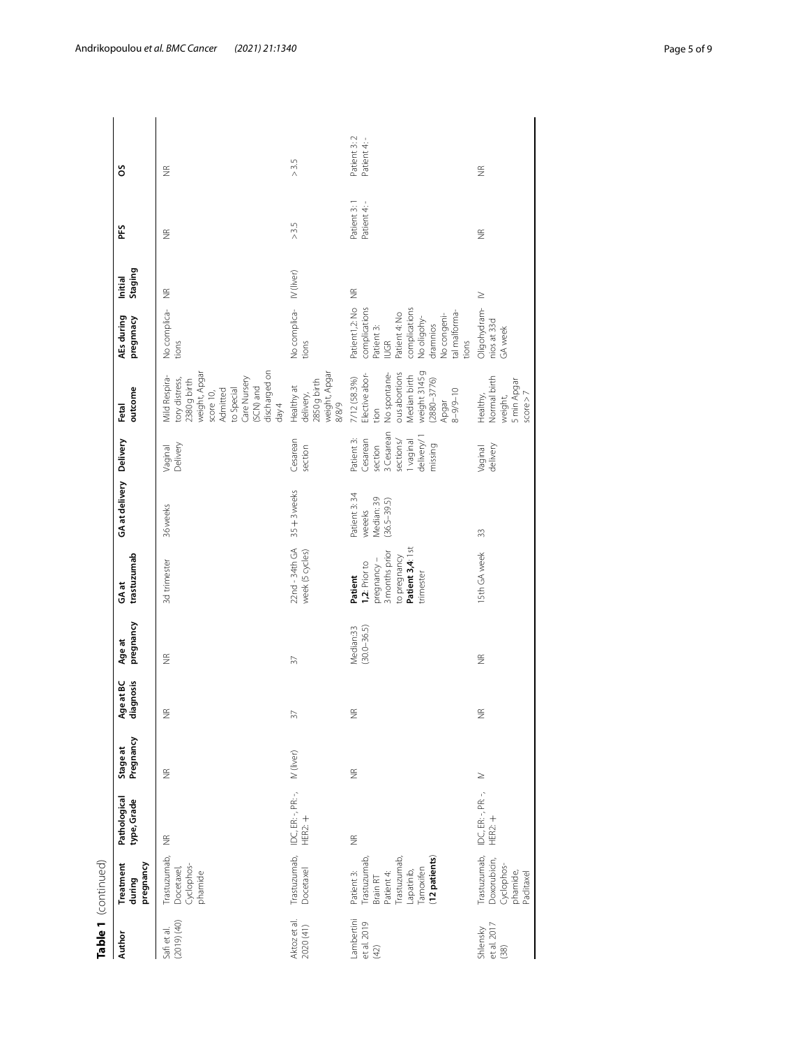|                                  | Table 1 (continued)                                                                                              |                                      |                       |                                 |                              |                                                                                                           |                                                         |                                                                                                    |                                                                                                                                                                        |                                                                                                                                                                    |                    |                            |                             |  |
|----------------------------------|------------------------------------------------------------------------------------------------------------------|--------------------------------------|-----------------------|---------------------------------|------------------------------|-----------------------------------------------------------------------------------------------------------|---------------------------------------------------------|----------------------------------------------------------------------------------------------------|------------------------------------------------------------------------------------------------------------------------------------------------------------------------|--------------------------------------------------------------------------------------------------------------------------------------------------------------------|--------------------|----------------------------|-----------------------------|--|
| Author                           | pregnancy<br>Treatment<br>during                                                                                 | Pathological<br>type, Grade          | Pregnancy<br>Stage at | Age at BC<br>diagnosis<br>at BC | pregnancy<br>Age at          | trastuzumab<br>GAat                                                                                       | GA at delivery Delivery                                 |                                                                                                    | outcome<br>Fetal                                                                                                                                                       | AEs during<br>pregnnacy                                                                                                                                            | Staging<br>Initial | ΡÉ                         | SO                          |  |
| (2019)(40)<br>Safiet al.         | Trastuzumab,<br>Cyclophos-<br>Docetaxel,<br>phamide                                                              | $\widetilde{\Xi}$                    | $\frac{\alpha}{2}$    | $\widetilde{\Xi}$               | $\frac{\alpha}{2}$           | 3d trimester                                                                                              | 36 weeks                                                | Delivery<br>Vaginal                                                                                | discharged on<br>weight, Apgar<br>Mild Respira-<br>Care Nursery<br>tory distress,<br>2380 g birth<br>(SCN) and<br>to Special<br>Admitted<br>score 10,<br>$\text{day}4$ | No complica-<br>tions                                                                                                                                              | $\widetilde{\Xi}$  | $\frac{\alpha}{2}$         | $\frac{\alpha}{2}$          |  |
| Aktoz et al.<br>2020 (41)        | Trastuzumab,<br>Docetaxel                                                                                        | IDC, ER: -, PR: -,<br><b>HER2: +</b> | IV (liver)            | $\overline{37}$                 | $\sqrt{2}$                   | $22nd - 34th GA$<br>week (5 cycles)                                                                       | $35 + 3$ weeks                                          | Cesarean<br>section                                                                                | weight, Apgar<br>2850 g birth<br>Healthy at<br>delivery,<br>8/8/9                                                                                                      | No complica- IV (liver)<br>tions                                                                                                                                   |                    | $>3.5$                     | $>3.5$                      |  |
| ambertini<br>et al. 2019<br>(42) | (12 patients)<br>Trastuzumab,<br>Trastuzumab,<br>Tamoxifen<br>Lapatinib,<br>Patient 3:<br>Patient 4:<br>Brain RT | $\frac{\alpha}{2}$                   | $\frac{\alpha}{2}$    | $\widetilde{\Xi}$               | $(30.0 - 36.5)$<br>Median:33 | Patient 3,4: 1st<br>3 months prior<br>to pregnancy<br>pregnancy-<br>1,2: Prior to<br>trimester<br>Patient | Patient 3:34<br>Median: 39<br>$(36.5 - 39.5)$<br>weeeks | 3 Cesarean<br>delivery/1<br>Patient 3:<br>Cesarean<br>sections/<br>I waginal<br>section<br>missing | weight 3145g<br>ous abortions<br>Elective abor-<br>No spontane-<br>Median birth<br>7/12 (58.3%)<br>2880-3776)<br>$8 - 9/9 - 10$<br>Apgar<br>tion                       | complications<br>Patient1,2: No<br>complications<br>tal malforma-<br>Patient 4: No<br>No congeni-<br>No oligohy-<br>dramnios<br>Patient 3:<br><b>IUGR</b><br>tions | $\widetilde{\Xi}$  | Patient 3:1<br>Patient 4:- | Patient 3:2<br>Patient 4: - |  |
| et al. 2017<br>Shlensky<br>(38)  | Trastuzumab,<br>Doxorubicin,<br>Cyclophos-<br>phamide,<br>Paclitaxel                                             | IDC, ER: -, PR: -,<br>HER2: +        | $\geq$                | $\widetilde{\Xi}$               | $\widetilde{\Xi}$            | 15th GA week                                                                                              | 33                                                      | delivery<br>Vaginal                                                                                | Normal birth<br>5 min Apgar<br>score > 7<br>weight,<br>Healthy,                                                                                                        | Oligohydram-<br>nios at 33d<br>GA week                                                                                                                             | $\geq$             | $\frac{\alpha}{2}$         | $\widetilde{\Xi}$           |  |
|                                  |                                                                                                                  |                                      |                       |                                 |                              |                                                                                                           |                                                         |                                                                                                    |                                                                                                                                                                        |                                                                                                                                                                    |                    |                            |                             |  |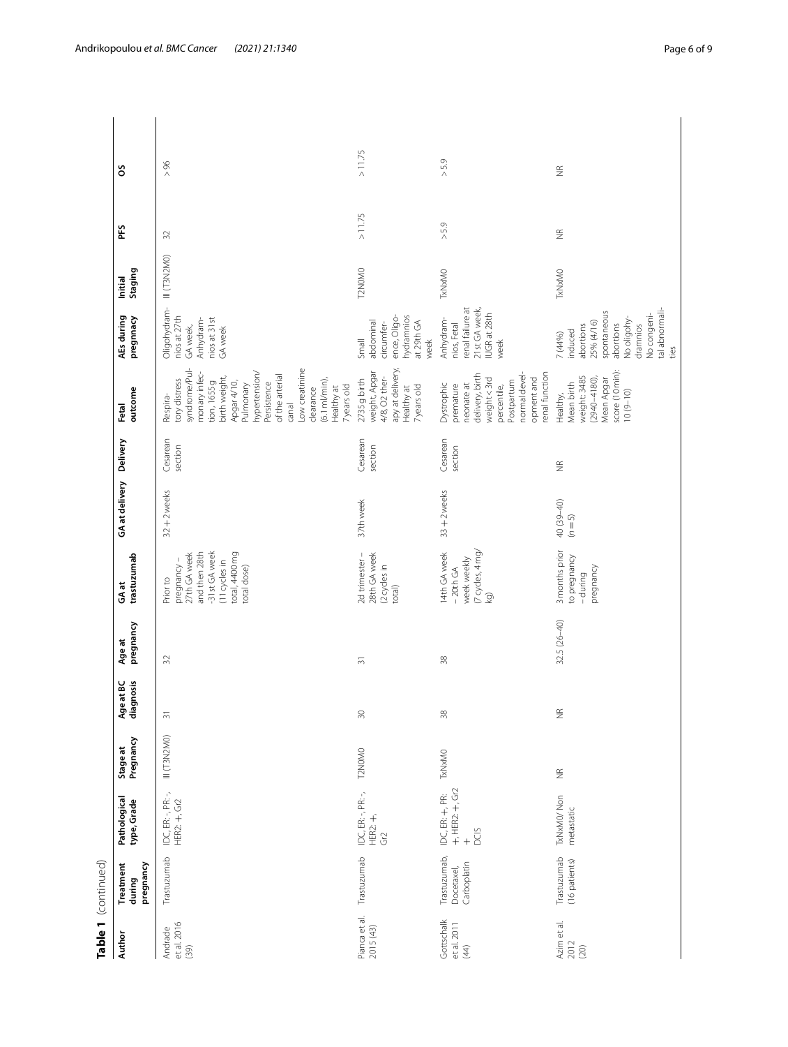|                                   | Table 1 (continued)                       |                                                                    |                       |                                   |                     |                                                                                                                            |                       |                     |                                                                                                                                                                                                                                                                           |                                                                                                                                               |                    |                    |                   |
|-----------------------------------|-------------------------------------------|--------------------------------------------------------------------|-----------------------|-----------------------------------|---------------------|----------------------------------------------------------------------------------------------------------------------------|-----------------------|---------------------|---------------------------------------------------------------------------------------------------------------------------------------------------------------------------------------------------------------------------------------------------------------------------|-----------------------------------------------------------------------------------------------------------------------------------------------|--------------------|--------------------|-------------------|
| Author                            | pregnancy<br>Treatment<br>during          | Pathological<br>type, Grade                                        | Pregnancy<br>Stage at | Age at BC<br>diagnosis<br>ignosis | pregnancy<br>Age at | trastuzumab<br>GAat                                                                                                        | GA at delivery        | Delivery            | outcome<br>Fetal                                                                                                                                                                                                                                                          | AEs during<br>pregnnacy                                                                                                                       | Staging<br>Initial | PFS                | ő                 |
| et al. 2016<br>Andrade<br>(39)    | Trastuzumab                               | IDC, ER: -, PR: -,<br>HER2: +, Gr2                                 | III(T3N2MO)           | $\overline{5}$                    | 32                  | -31st GA week<br>and then 28th<br>total, 4400 mg<br>27th GA week<br>(11 cycles in<br>pregnancy-<br>total dose)<br>Prior to | $32 + 2$ weeks        | Cesarean<br>section | syndrome/Pul-<br>Low creatinine<br>hypertension/<br>monary infec-<br>of the arterial<br>birth weight,<br>$(6.1 \text{ mV min})$<br>tion, 1655 g<br>tory distress<br>Apgar 4/10,<br>Persistence<br>Pulmonary<br>7years old<br>Healthy at<br>clearance<br>Respira-<br>canal | Oligohydram-<br>nios at 27th<br>Anhydram-<br>nios at 31st<br>GA week,<br>GA week                                                              | III (T3N2MO)       | 32                 | > 96              |
| Pianca et al.<br>2015 (43)        | Trastuzumab                               | IDC, ER: -, PR: -,<br>$HER2: +$ ,<br>Gr2                           | T2N0M0                | $\overline{30}$                   | $\overline{5}$      | 2d trimester -<br>28th GA week<br>(2 cycles in<br>total)                                                                   | 37th week             | Cesarean<br>section | apy at delivery,<br>weight, Apgar<br>4/8, O2 ther-<br>2735 g birth<br>7years old<br>Healthy at                                                                                                                                                                            | ence, Oligo-<br>hydramnios<br>at 29th GA<br>abdominal<br>circumfer-<br>Small<br>week                                                          | T2NOMO             | >11.75             | >11.75            |
| Gottschalk<br>et al. 2011<br>(44) | Trastuzumab,<br>Carboplatin<br>Docetaxel, | $+,$ HER2: $+,$ Gr2<br>IDC, ER: +, PR:<br><b>DCIS</b><br>$\ddot{}$ | <b>TxNxMO</b>         | 38                                | $\approx$           | (7 cycles, 4 mg/<br>14th GA week<br>week weekly<br>$-20th$ GA<br>kg)                                                       | $33 + 2$ weeks        | Cesarean<br>section | renal function<br>normal devel-<br>delivery, birth<br>opment and<br>weight <3rd<br>Postpartum<br>Dystrophic<br>neonate at<br>premature<br>percentile,                                                                                                                     | renal failure at<br>21st GA week,<br>IUGR at 28th<br>Anhydram-<br>nios, Fetal<br>week                                                         | <b>TxNxMO</b>      | $>5.9$             | $>5.9$            |
| Azim et al.<br>2012<br>(20)       | Trastuzumab<br>(16 patients)              | TxNxMO/Non<br>metastatic                                           | $\frac{\alpha}{2}$    | $\widetilde{\Xi}$                 | $32.5(26 - 40)$     | 3 months prior<br>to pregnancy<br>pregnancy<br>-during                                                                     | 40 (39-40)<br>$(n=5)$ | $\widetilde{\Xi}$   | score (10 min):<br>weight: 3485<br>$(2940 - 4180)$<br>Mean Apgar<br>Mean birth<br>$10(9 - 10)$<br>Healthy,                                                                                                                                                                | tal abnormali-<br>spontaneous<br>No congeni-<br>No oligohy-<br>25% (4/16)<br>abortions<br>abortions<br>dramnios<br>induced<br>7 (44%)<br>ties | <b>TxNxMO</b>      | $\frac{\alpha}{2}$ | $\widetilde{\Xi}$ |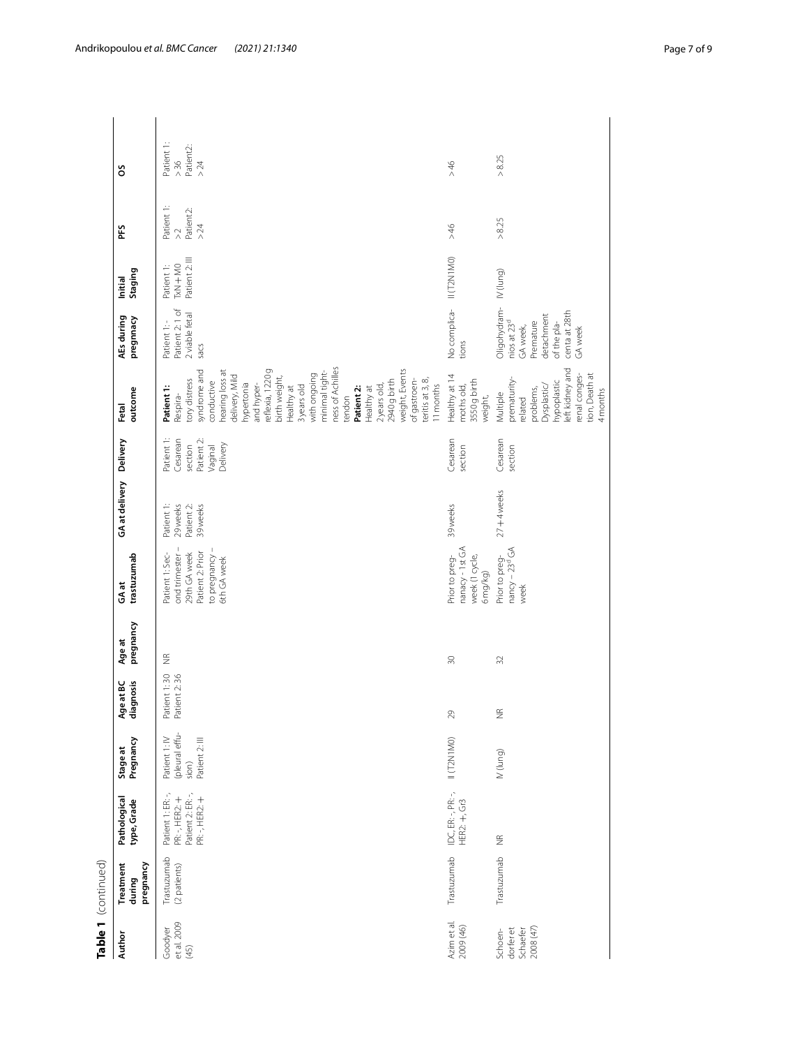|                                               | Table 1 (continued)              |                                                                            |                                                            |                                    |                     |                                                                                                       |                                                            |                                                                        |                                                                                                                                                                                                                                                                                                                                                                                                      |                                                                                                                           |                                        |                                                   |                                           |
|-----------------------------------------------|----------------------------------|----------------------------------------------------------------------------|------------------------------------------------------------|------------------------------------|---------------------|-------------------------------------------------------------------------------------------------------|------------------------------------------------------------|------------------------------------------------------------------------|------------------------------------------------------------------------------------------------------------------------------------------------------------------------------------------------------------------------------------------------------------------------------------------------------------------------------------------------------------------------------------------------------|---------------------------------------------------------------------------------------------------------------------------|----------------------------------------|---------------------------------------------------|-------------------------------------------|
| Author                                        | pregnancy<br>Treatment<br>during | Pathological<br>type, Grade                                                | Pregnancy<br>Stage at                                      | Age at BC<br>diagnosis<br>ye at BC | pregnancy<br>Age at | trastuzumab<br>GAat                                                                                   | GA at delivery Delivery                                    |                                                                        | outcome<br>Fetal                                                                                                                                                                                                                                                                                                                                                                                     | AEs during<br>pregnnacy                                                                                                   | Staging<br>Initial                     | PFS                                               | ő                                         |
| et al. 2009<br>Goodyer<br>(45)                | Trastuzumab<br>(2 patients)      | Patient 2: ER: -,<br>Patient 1: ER: -,<br>PR: -, HER2: +<br>PR: -, HER2: + | (pleural effu-<br>Patient 1: IV<br>Patient 2: III<br>sion) | Patient 1:30<br>Patient 2:36       | $\frac{\alpha}{2}$  | ond trimester-<br>to pregnancy-<br>Patient 1: Sec-<br>Patient 2: Prior<br>29th GA week<br>6th GA week | Patient 2:<br>Patient 1:<br>29weeks<br>39 <sub>weeks</sub> | Patient 1:<br>Cesarean<br>Patient 2:<br>Delivery<br>section<br>Vaginal | ness of Achilles<br>hearing loss at<br>reflexia, 1220g<br>weight, Events<br>syndrome and<br>minimal tight-<br>with ongoing<br>delivery, Mild<br>birth weight,<br>teritis at 3, 8,<br>tory distress<br>2940 g birth<br>of gastroen-<br>conductive<br>11 months<br>hypertonia<br>and hyper-<br>2years old,<br>3years old<br>Healthy at<br>Patient 1:<br>Healthy at<br>Patient 2:<br>Respira-<br>tendon | Patient 2:1 of<br>2 viable fetal<br>Patient 1:-<br>Sacs                                                                   | Patient 2: III<br>TxN+MO<br>Patient 1: | Patient 1:<br>Patient2:<br>$>24$<br>$\frac{1}{2}$ | Patient 1:<br>Patient2:<br>$>36$<br>$>24$ |
| Azim et al.<br>2009 (46)                      | Trastuzumab                      | IDC, ER: -, PR: -,<br>HER2: +, Gr3                                         | II (T2N1MO)                                                | $29$                               | $\Im$               | nanacy - 1st GA<br>Prior to preg-<br>week (1 cycle,<br>$6$ mg/kg $)$                                  | 39weeks                                                    | Cesarean<br>section                                                    | Healthy at 14<br>3550 g birth<br>moths old,<br>weight,                                                                                                                                                                                                                                                                                                                                               | No complica- II (T2N1MO)<br>tions                                                                                         |                                        | 97 <                                              | 946                                       |
| dorfer et<br>Schaefer<br>2008 (47)<br>Schoen- | Trastuzumab                      | $\widetilde{\Xi}$                                                          | (pun))                                                     | ž                                  | $\Im$               | nancy - 23 <sup>d</sup> GA<br>Prior to preg-<br>week                                                  | $27 + 4$ weeks                                             | Cesarean<br>section                                                    | left kidney and<br>renal conges-<br>tion, Death at<br>prematurity-<br>hypoplastic<br>Dysplastic/<br>problems,<br>4 months<br>Multiple<br>related                                                                                                                                                                                                                                                     | Oligohydram-<br>centa at 28th<br>detachment<br>nios at 23 <sup>d</sup><br>Premature<br>of the pla-<br>GA week,<br>GA week | (punl) NI                              | > 8.25                                            | > 8.25                                    |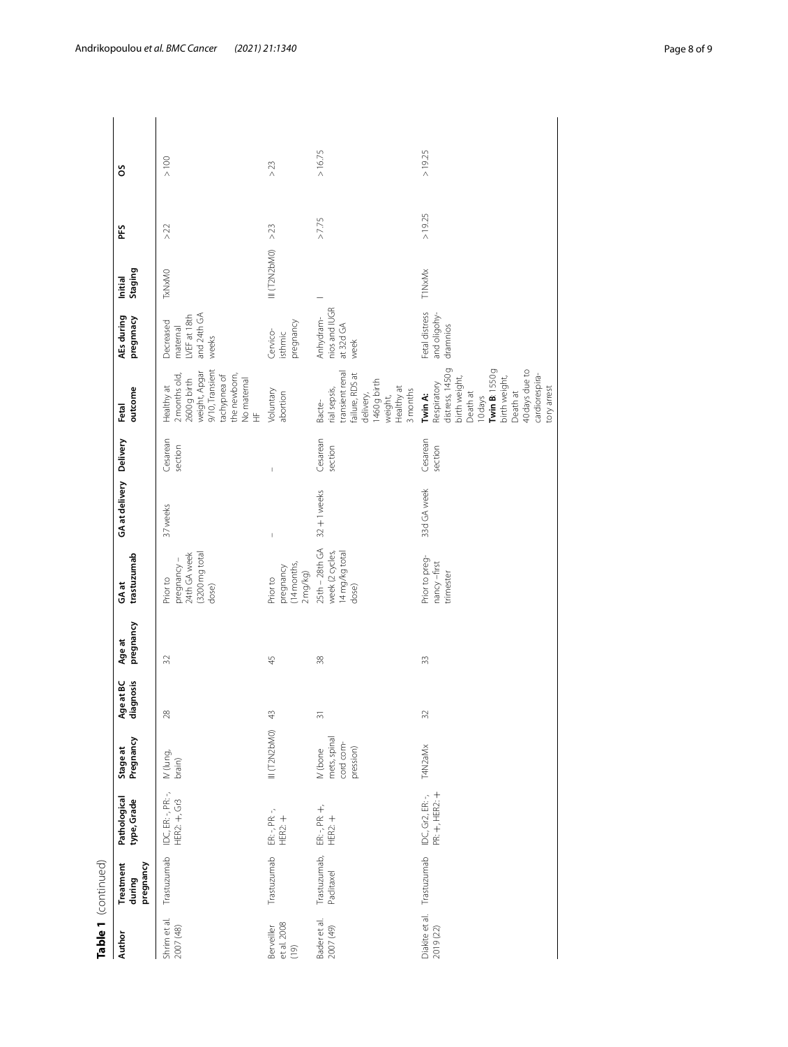| 1460 g birth<br>Respiratory<br>Healthy at<br>Healthy at<br>rial sepsis,<br>outcome<br>Voluntary<br>3 months<br>delivery,<br>abortion<br>Death at<br>weight,<br>Twin A:<br>10days<br>Bacte-<br>Fetal<br>Cesarean<br>Cesarean<br>GA at delivery Delivery<br>Cesarean<br>section<br>section<br>section<br>Ï<br>33d GA week<br>32+1weeks<br>37 weeks<br>25th - 28th GA<br>week (2 cycles,<br>14 mg/kg total<br>(3200 mg total<br>24th GA week<br>trastuzumab<br>Prior to preg-<br>pregnancy-<br>nancy-first<br>(14 months,<br>pregnancy<br>2 mg/kg)<br>trimester<br>Prior to<br>Prior to<br>GAat<br>dose)<br>dose)<br>pregnancy<br>Age at<br>45<br>38<br>32<br>33<br>Age at BC<br>diagnosis<br>28<br>32<br>43<br>$\overline{31}$<br>III (T2N2bM0)<br>mets, spinal<br>Pregnancy<br>cord com-<br>T4N2aMx<br>Stage at<br>pression)<br>IV (bone<br>IV (lung,<br>brain)<br>IDC, ER: -, PR: -,<br>IDC, Gr2, ER: -,<br>PR: +, HER2: +<br>Pathological<br>type, Grade<br>HER2: +, Gr3<br>$ER - PR +$<br>HER2: $+$<br>$ER - 7PR - 7$<br>HER2: $+$<br>Trastuzumab,<br>Trastuzumab<br>Trastuzumab<br>Trastuzumab<br>pregnancy<br>Treatment<br>Paclitaxel<br>during<br>Diakite et al.<br>Shrim et al.<br>Bader et al.<br>et al. 2008<br>Berveiller<br>2007 (49)<br>2007 (48)<br>2019 (22)<br>Author<br>(19) | Table 1 (continued) |  |  |  |  |                                                                                                                        |                                                               |                    |        |         |
|---------------------------------------------------------------------------------------------------------------------------------------------------------------------------------------------------------------------------------------------------------------------------------------------------------------------------------------------------------------------------------------------------------------------------------------------------------------------------------------------------------------------------------------------------------------------------------------------------------------------------------------------------------------------------------------------------------------------------------------------------------------------------------------------------------------------------------------------------------------------------------------------------------------------------------------------------------------------------------------------------------------------------------------------------------------------------------------------------------------------------------------------------------------------------------------------------------------------------------------------------------------------------------------------|---------------------|--|--|--|--|------------------------------------------------------------------------------------------------------------------------|---------------------------------------------------------------|--------------------|--------|---------|
|                                                                                                                                                                                                                                                                                                                                                                                                                                                                                                                                                                                                                                                                                                                                                                                                                                                                                                                                                                                                                                                                                                                                                                                                                                                                                             |                     |  |  |  |  |                                                                                                                        | AEs during<br>pregnnacy                                       | Staging<br>Initial | Ĕ      | S       |
|                                                                                                                                                                                                                                                                                                                                                                                                                                                                                                                                                                                                                                                                                                                                                                                                                                                                                                                                                                                                                                                                                                                                                                                                                                                                                             |                     |  |  |  |  | 9/10, Transient<br>weight, Apgar<br>the newborn,<br>tachypnea of<br>2 months old,<br>No maternal<br>HF<br>2600 g birth | and 24th GA<br>LVEF at 18th<br>Decreased<br>maternal<br>weeks | TxNxMO             | >22    | $> 100$ |
|                                                                                                                                                                                                                                                                                                                                                                                                                                                                                                                                                                                                                                                                                                                                                                                                                                                                                                                                                                                                                                                                                                                                                                                                                                                                                             |                     |  |  |  |  |                                                                                                                        | pregnancy<br>Cervico-<br>isthmic                              | III (T2N2bM0)      | $>23$  | $>23$   |
|                                                                                                                                                                                                                                                                                                                                                                                                                                                                                                                                                                                                                                                                                                                                                                                                                                                                                                                                                                                                                                                                                                                                                                                                                                                                                             |                     |  |  |  |  | transient renal<br>failure, RDS at                                                                                     | nios and IUGR<br>Anhydram-<br>at 32d GA<br>week               |                    | >7.75  | >16.75  |
| tory arrest<br>Death at                                                                                                                                                                                                                                                                                                                                                                                                                                                                                                                                                                                                                                                                                                                                                                                                                                                                                                                                                                                                                                                                                                                                                                                                                                                                     |                     |  |  |  |  | distress, 1450 g<br>Twin B: 1550g<br>40 days due to<br>cardiorespira-<br>birth weight,<br>birth weight,                | Fetal distress<br>and oligohy-<br>dramnios                    | <b>T1NxMx</b>      | >19.25 | >19.25  |